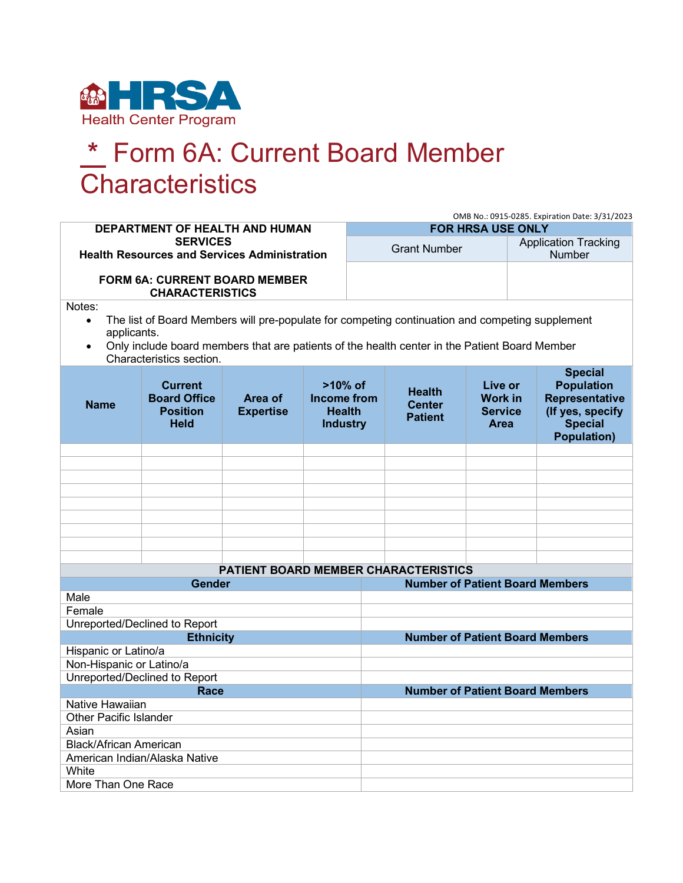

## **\*** Form 6A: Current Board Member **Characteristics**

|                                                                                                                                                                                                                                                                                 |                                                                         |                                      |                                                                      |                                        |                                                  |                                                     | OMB No.: 0915-0285. Expiration Date: 3/31/2023                                                                           |  |  |
|---------------------------------------------------------------------------------------------------------------------------------------------------------------------------------------------------------------------------------------------------------------------------------|-------------------------------------------------------------------------|--------------------------------------|----------------------------------------------------------------------|----------------------------------------|--------------------------------------------------|-----------------------------------------------------|--------------------------------------------------------------------------------------------------------------------------|--|--|
| DEPARTMENT OF HEALTH AND HUMAN                                                                                                                                                                                                                                                  |                                                                         |                                      |                                                                      | <b>FOR HRSA USE ONLY</b>               |                                                  |                                                     |                                                                                                                          |  |  |
| <b>SERVICES</b><br><b>Health Resources and Services Administration</b>                                                                                                                                                                                                          |                                                                         |                                      |                                                                      | <b>Grant Number</b>                    |                                                  |                                                     | <b>Application Tracking</b><br><b>Number</b>                                                                             |  |  |
| <b>FORM 6A: CURRENT BOARD MEMBER</b><br><b>CHARACTERISTICS</b>                                                                                                                                                                                                                  |                                                                         |                                      |                                                                      |                                        |                                                  |                                                     |                                                                                                                          |  |  |
| Notes:<br>The list of Board Members will pre-populate for competing continuation and competing supplement<br>$\bullet$<br>applicants.<br>Only include board members that are patients of the health center in the Patient Board Member<br>$\bullet$<br>Characteristics section. |                                                                         |                                      |                                                                      |                                        |                                                  |                                                     |                                                                                                                          |  |  |
| <b>Name</b>                                                                                                                                                                                                                                                                     | <b>Current</b><br><b>Board Office</b><br><b>Position</b><br><b>Held</b> | Area of<br><b>Expertise</b>          | $>10\%$ of<br><b>Income from</b><br><b>Health</b><br><b>Industry</b> |                                        | <b>Health</b><br><b>Center</b><br><b>Patient</b> | Live or<br><b>Work in</b><br><b>Service</b><br>Area | <b>Special</b><br><b>Population</b><br><b>Representative</b><br>(If yes, specify<br><b>Special</b><br><b>Population)</b> |  |  |
|                                                                                                                                                                                                                                                                                 |                                                                         |                                      |                                                                      |                                        |                                                  |                                                     |                                                                                                                          |  |  |
|                                                                                                                                                                                                                                                                                 |                                                                         |                                      |                                                                      |                                        |                                                  |                                                     |                                                                                                                          |  |  |
|                                                                                                                                                                                                                                                                                 |                                                                         |                                      |                                                                      |                                        |                                                  |                                                     |                                                                                                                          |  |  |
|                                                                                                                                                                                                                                                                                 |                                                                         |                                      |                                                                      |                                        |                                                  |                                                     |                                                                                                                          |  |  |
|                                                                                                                                                                                                                                                                                 |                                                                         |                                      |                                                                      |                                        |                                                  |                                                     |                                                                                                                          |  |  |
|                                                                                                                                                                                                                                                                                 |                                                                         |                                      |                                                                      |                                        |                                                  |                                                     |                                                                                                                          |  |  |
|                                                                                                                                                                                                                                                                                 |                                                                         |                                      |                                                                      |                                        |                                                  |                                                     |                                                                                                                          |  |  |
|                                                                                                                                                                                                                                                                                 |                                                                         |                                      |                                                                      |                                        |                                                  |                                                     |                                                                                                                          |  |  |
|                                                                                                                                                                                                                                                                                 |                                                                         | PATIENT BOARD MEMBER CHARACTERISTICS |                                                                      |                                        |                                                  |                                                     |                                                                                                                          |  |  |
|                                                                                                                                                                                                                                                                                 | <b>Gender</b>                                                           |                                      |                                                                      | <b>Number of Patient Board Members</b> |                                                  |                                                     |                                                                                                                          |  |  |
| Male                                                                                                                                                                                                                                                                            |                                                                         |                                      |                                                                      |                                        |                                                  |                                                     |                                                                                                                          |  |  |
| Female                                                                                                                                                                                                                                                                          |                                                                         |                                      |                                                                      |                                        |                                                  |                                                     |                                                                                                                          |  |  |
|                                                                                                                                                                                                                                                                                 | Unreported/Declined to Report                                           |                                      |                                                                      |                                        |                                                  |                                                     |                                                                                                                          |  |  |
| <b>Ethnicity</b>                                                                                                                                                                                                                                                                |                                                                         |                                      |                                                                      |                                        | <b>Number of Patient Board Members</b>           |                                                     |                                                                                                                          |  |  |
| Hispanic or Latino/a                                                                                                                                                                                                                                                            |                                                                         |                                      |                                                                      |                                        |                                                  |                                                     |                                                                                                                          |  |  |
| Non-Hispanic or Latino/a<br>Unreported/Declined to Report                                                                                                                                                                                                                       |                                                                         |                                      |                                                                      |                                        |                                                  |                                                     |                                                                                                                          |  |  |
|                                                                                                                                                                                                                                                                                 |                                                                         |                                      |                                                                      | <b>Number of Patient Board Members</b> |                                                  |                                                     |                                                                                                                          |  |  |
| Race<br>Native Hawaiian                                                                                                                                                                                                                                                         |                                                                         |                                      |                                                                      |                                        |                                                  |                                                     |                                                                                                                          |  |  |
| <b>Other Pacific Islander</b>                                                                                                                                                                                                                                                   |                                                                         |                                      |                                                                      |                                        |                                                  |                                                     |                                                                                                                          |  |  |
| Asian                                                                                                                                                                                                                                                                           |                                                                         |                                      |                                                                      |                                        |                                                  |                                                     |                                                                                                                          |  |  |
| <b>Black/African American</b>                                                                                                                                                                                                                                                   |                                                                         |                                      |                                                                      |                                        |                                                  |                                                     |                                                                                                                          |  |  |
| American Indian/Alaska Native                                                                                                                                                                                                                                                   |                                                                         |                                      |                                                                      |                                        |                                                  |                                                     |                                                                                                                          |  |  |
| White                                                                                                                                                                                                                                                                           |                                                                         |                                      |                                                                      |                                        |                                                  |                                                     |                                                                                                                          |  |  |
| More Than One Race                                                                                                                                                                                                                                                              |                                                                         |                                      |                                                                      |                                        |                                                  |                                                     |                                                                                                                          |  |  |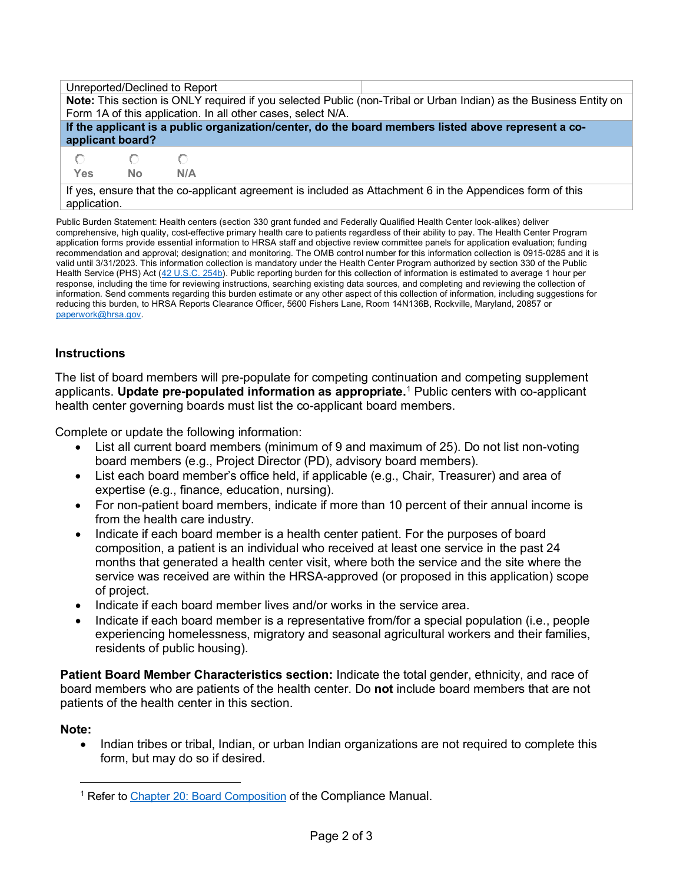| Unreported/Declined to Report                                                                                             |           |     |  |  |  |  |  |
|---------------------------------------------------------------------------------------------------------------------------|-----------|-----|--|--|--|--|--|
| Note: This section is ONLY required if you selected Public (non-Tribal or Urban Indian) as the Business Entity on         |           |     |  |  |  |  |  |
| Form 1A of this application. In all other cases, select N/A.                                                              |           |     |  |  |  |  |  |
| If the applicant is a public organization/center, do the board members listed above represent a co-                       |           |     |  |  |  |  |  |
| applicant board?                                                                                                          |           |     |  |  |  |  |  |
|                                                                                                                           |           |     |  |  |  |  |  |
| Yes                                                                                                                       | <b>No</b> | N/A |  |  |  |  |  |
| If yes, ensure that the co-applicant agreement is included as Attachment 6 in the Appendices form of this<br>application. |           |     |  |  |  |  |  |

Public Burden Statement: Health centers (section 330 grant funded and Federally Qualified Health Center look-alikes) deliver comprehensive, high quality, cost-effective primary health care to patients regardless of their ability to pay. The Health Center Program application forms provide essential information to HRSA staff and objective review committee panels for application evaluation; funding recommendation and approval; designation; and monitoring. The OMB control number for this information collection is 0915-0285 and it is valid until 3/31/2023. This information collection is mandatory under the Health Center Program authorized by section 330 of the Public Health Service (PHS) Act [\(42 U.S.C. 254b\)](http://uscode.house.gov/view.xhtml?req=granuleid:USC-prelim-title42-section254b&num=0&edition=prelim). Public reporting burden for this collection of information is estimated to average 1 hour per response, including the time for reviewing instructions, searching existing data sources, and completing and reviewing the collection of information. Send comments regarding this burden estimate or any other aspect of this collection of information, including suggestions for reducing this burden, to HRSA Reports Clearance Officer, 5600 Fishers Lane, Room 14N136B, Rockville, Maryland, 20857 or [paperwork@hrsa.gov.](mailto:paperwork@hrsa.gov) 

## **Instructions**

The list of board members will pre-populate for competing continuation and competing supplement applicants. **Update pre-populated information as appropriate.**[1](#page-1-0) Public centers with co-applicant health center governing boards must list the co-applicant board members.

Complete or update the following information:

- List all current board members (minimum of 9 and maximum of 25). Do not list non-voting board members (e.g., Project Director (PD), advisory board members).
- List each board member's office held, if applicable (e.g., Chair, Treasurer) and area of expertise (e.g., finance, education, nursing).
- For non-patient board members, indicate if more than 10 percent of their annual income is from the health care industry.
- Indicate if each board member is a health center patient. For the purposes of board composition, a patient is an individual who received at least one service in the past 24 months that generated a health center visit, where both the service and the site where the service was received are within the HRSA-approved (or proposed in this application) scope of project.
- Indicate if each board member lives and/or works in the service area.
- Indicate if each board member is a representative from/for a special population (i.e., people experiencing homelessness, migratory and seasonal agricultural workers and their families, residents of public housing).

**Patient Board Member Characteristics section:** Indicate the total gender, ethnicity, and race of board members who are patients of the health center. Do **not** include board members that are not patients of the health center in this section.

## **Note:**

• Indian tribes or tribal, Indian, or urban Indian organizations are not required to complete this form, but may do so if desired.

<span id="page-1-0"></span><sup>&</sup>lt;sup>1</sup> Refer t[o Chapter 20: Board Composition](https://bphc.hrsa.gov/programrequirements/compliancemanual/chapter-20.html) of the Compliance Manual.